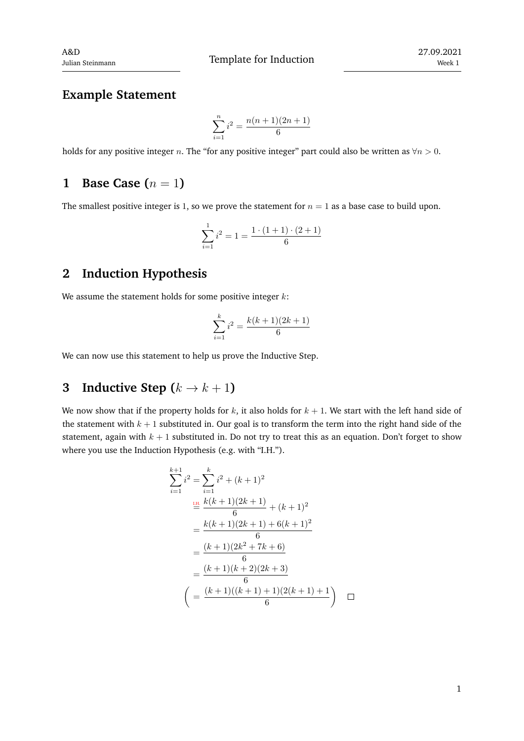### **Example Statement**

$$
\sum_{i=1}^{n} i^2 = \frac{n(n+1)(2n+1)}{6}
$$

holds for any positive integer *n*. The "for any positive integer" part could also be written as *∀n >* 0.

### **1 Base Case**  $(n = 1)$

The smallest positive integer is 1, so we prove the statement for  $n = 1$  as a base case to build upon.

$$
\sum_{i=1}^{1} i^2 = 1 = \frac{1 \cdot (1+1) \cdot (2+1)}{6}
$$

### **2 Induction Hypothesis**

We assume the statement holds for some positive integer *k*:

$$
\sum_{i=1}^{k} i^2 = \frac{k(k+1)(2k+1)}{6}
$$

We can now use this statement to help us prove the Inductive Step.

# **3 Inductive Step**  $(k \rightarrow k+1)$

We now show that if the property holds for  $k$ , it also holds for  $k + 1$ . We start with the left hand side of the statement with  $k + 1$  substituted in. Our goal is to transform the term into the right hand side of the statement, again with  $k + 1$  substituted in. Do not try to treat this as an equation. Don't forget to show where you use the Induction Hypothesis (e.g. with "I.H.").

$$
\sum_{i=1}^{k+1} i^2 = \sum_{i=1}^{k} i^2 + (k+1)^2
$$
  
\n
$$
\stackrel{\text{III.}}{=} \frac{k(k+1)(2k+1)}{6} + (k+1)^2
$$
  
\n
$$
= \frac{k(k+1)(2k+1) + 6(k+1)^2}{6}
$$
  
\n
$$
= \frac{(k+1)(2k^2 + 7k + 6)}{6}
$$
  
\n
$$
= \frac{(k+1)(k+2)(2k+3)}{6}
$$
  
\n
$$
= \frac{(k+1)((k+1)+1)(2(k+1)+1)}{6}
$$